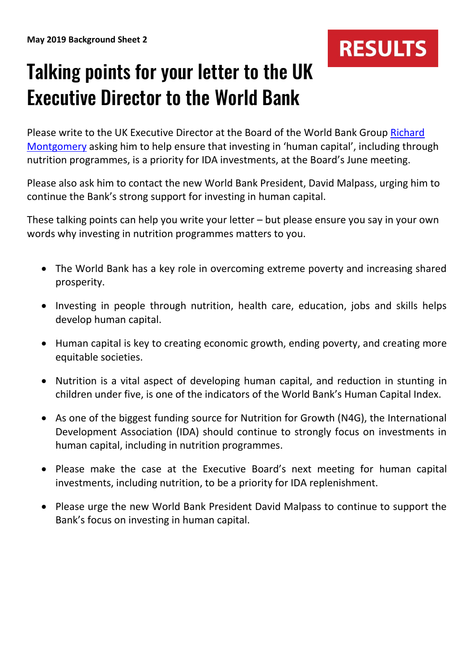## **RESULTS**

## Talking points for your letter to the UK Executive Director to the World Bank

Please write to the UK Executive Director at the Board of the World Bank Group [Richard](http://www.worldbank.org/en/about/people/r/richard-montgomery)  [Montgomery](http://www.worldbank.org/en/about/people/r/richard-montgomery) asking him to help ensure that investing in 'human capital', including through nutrition programmes, is a priority for IDA investments, at the Board's June meeting.

Please also ask him to contact the new World Bank President, David Malpass, urging him to continue the Bank's strong support for investing in human capital.

These talking points can help you write your letter – but please ensure you say in your own words why investing in nutrition programmes matters to you.

- The World Bank has a key role in overcoming extreme poverty and increasing shared prosperity.
- Investing in people through nutrition, health care, education, jobs and skills helps develop human capital.
- Human capital is key to creating economic growth, ending poverty, and creating more equitable societies.
- Nutrition is a vital aspect of developing human capital, and reduction in stunting in children under five, is one of the indicators of the World Bank's Human Capital Index.
- As one of the biggest funding source for Nutrition for Growth (N4G), the International Development Association (IDA) should continue to strongly focus on investments in human capital, including in nutrition programmes.
- Please make the case at the Executive Board's next meeting for human capital investments, including nutrition, to be a priority for IDA replenishment.
- Please urge the new World Bank President David Malpass to continue to support the Bank's focus on investing in human capital.